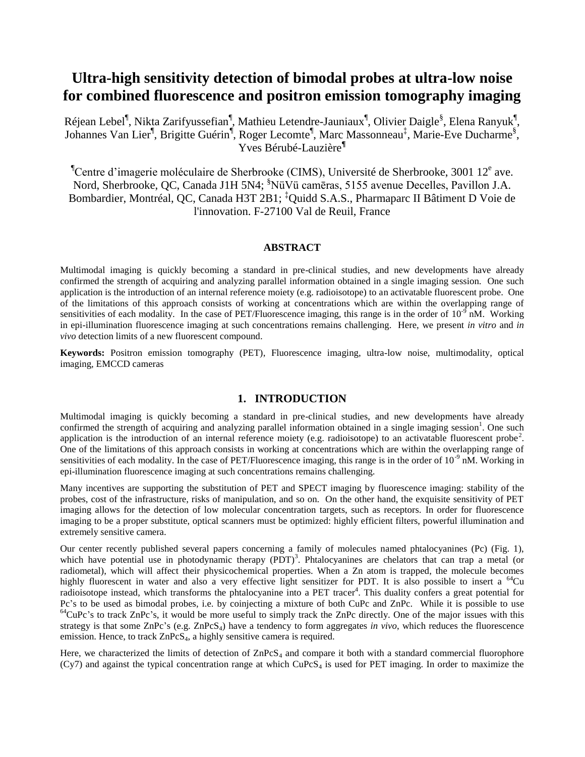# **Ultra-high sensitivity detection of bimodal probes at ultra-low noise for combined fluorescence and positron emission tomography imaging**

Réjean Lebel<sup>¶</sup>, Nikta Zarifyussefian<sup>¶</sup>, Mathieu Letendre-Jauniaux<sup>¶</sup>, Olivier Daigle<sup>§</sup>, Elena Ranyuk<sup>¶</sup>, Johannes Van Lier<sup>¶</sup>, Brigitte Guérin<sup>¶</sup>, Roger Lecomte<sup>¶</sup>, Marc Massonneau<sup>‡</sup>, Marie-Eve Ducharme<sup>§</sup>, Yves Bérubé-Lauzière**¶**

 $^{\circ}$ Centre d'imagerie moléculaire de Sherbrooke (CIMS), Université de Sherbrooke, 3001 12<sup>e</sup> ave. Nord, Sherbrooke, QC, Canada J1H 5N4; <sup>§</sup>NüVü camēras, 5155 avenue Decelles, Pavillon J.A. Bombardier, Montréal, QC, Canada H3T 2B1; ‡Quidd S.A.S., Pharmaparc II Bâtiment D Voie de l'innovation. F-27100 Val de Reuil, France

# **ABSTRACT**

Multimodal imaging is quickly becoming a standard in pre-clinical studies, and new developments have already confirmed the strength of acquiring and analyzing parallel information obtained in a single imaging session. One such application is the introduction of an internal reference moiety (e.g. radioisotope) to an activatable fluorescent probe. One of the limitations of this approach consists of working at concentrations which are within the overlapping range of sensitivities of each modality. In the case of PET/Fluorescence imaging, this range is in the order of  $10^{-9}$  nM. Working in epi-illumination fluorescence imaging at such concentrations remains challenging. Here, we present *in vitro* and *in vivo* detection limits of a new fluorescent compound.

**Keywords:** Positron emission tomography (PET), Fluorescence imaging, ultra-low noise, multimodality, optical imaging, EMCCD cameras

# **1. INTRODUCTION**

Multimodal imaging is quickly becoming a standard in pre-clinical studies, and new developments have already co[n](#page-6-0)firmed the strength of acquiring and analyzing parallel information obtained in a single imaging session<sup>1</sup>. One such application is the introduction of an internal reference moiety (e.g. radioisotope) to an activatable fluorescent probe<sup>[2](#page-6-1)</sup>. One of the limitations of this approach consists in working at concentrations which are within the overlapping range of sensitivities of each modality. In the case of PET/Fluorescence imaging, this range is in the order of  $10^{-9}$  nM. Working in epi-illumination fluorescence imaging at such concentrations remains challenging.

Many incentives are supporting the substitution of PET and SPECT imaging by fluorescence imaging: stability of the probes, cost of the infrastructure, risks of manipulation, and so on. On the other hand, the exquisite sensitivity of PET imaging allows for the detection of low molecular concentration targets, such as receptors. In order for fluorescence imaging to be a proper substitute, optical scanners must be optimized: highly efficient filters, powerful illumination and extremely sensitive camera.

Our center recently published several papers concerning a family of molecules named phtalocyanines (Pc) (Fig. 1), which have potential use in photodynamic therapy  $(PDT)^3$  $(PDT)^3$  $(PDT)^3$ . Phtalocyanines are chelators that can trap a metal (or radiometal), which will affect their physicochemical properties. When a Zn atom is trapped, the molecule becomes highly fluorescent in water and also a very effective light sensitizer for PDT. It is also possible to insert a <sup>64</sup>Cu [r](#page-6-3)adioisotope instead, which transforms the phtalocyanine into a PET tracer<sup>4</sup>. This duality confers a great potential for Pc's to be used as bimodal probes, i.e. by coinjecting a mixture of both CuPc and ZnPc. While it is possible to use  $64$ CuPc's to track ZnPc's, it would be more useful to simply track the ZnPc directly. One of the major issues with this strategy is that some  $\text{ZnPcS}_4$ ,  $\text{ZnPcS}_4$ ) have a tendency to form aggregates *in vivo*, which reduces the fluorescence emission. Hence, to track  $ZnPcS<sub>4</sub>$ , a highly sensitive camera is required.

Here, we characterized the limits of detection of  $\text{ZnPcS}_4$  and compare it both with a standard commercial fluorophore  $(Cy7)$  and against the typical concentration range at which  $CuPCS<sub>4</sub>$  is used for PET imaging. In order to maximize the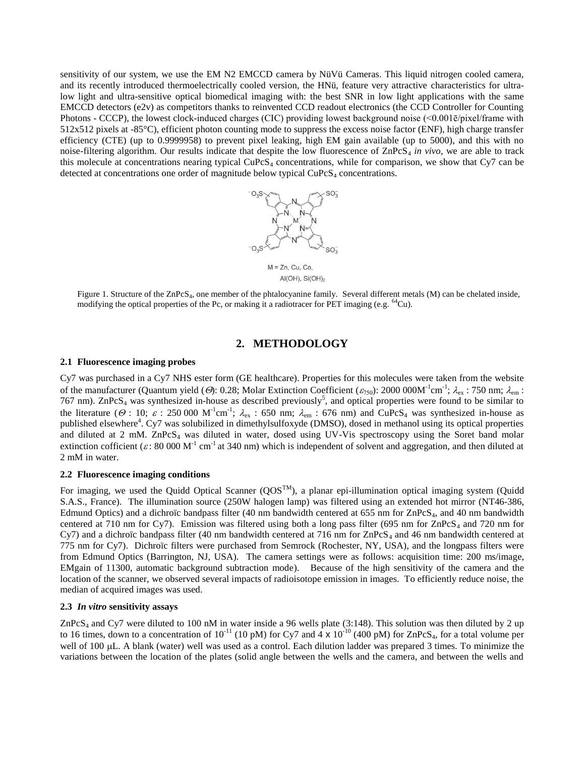sensitivity of our system, we use the EM N2 EMCCD camera by NüVü Cameras. This liquid nitrogen cooled camera, and its recently introduced thermoelectrically cooled version, the HNü, feature very attractive characteristics for ultralow light and ultra-sensitive optical biomedical imaging with: the best SNR in low light applications with the same EMCCD detectors (e2v) as competitors thanks to reinvented CCD readout electronics (the CCD Controller for Counting Photons - CCCP), the lowest clock-induced charges (CIC) providing lowest background noise (<0.001ē/pixel/frame with 512x512 pixels at -85°C), efficient photon counting mode to suppress the excess noise factor (ENF), high charge transfer efficiency (CTE) (up to 0.9999958) to prevent pixel leaking, high EM gain available (up to 5000), and this with no noise-filtering algorithm. Our results indicate that despite the low fluorescence of  $\text{ZnPCS}_4$  *in vivo*, we are able to track this molecule at concentrations nearing typical  $CuPcS<sub>4</sub>$  concentrations, while for comparison, we show that Cy7 can be detected at concentrations one order of magnitude below typical  $CuPCS<sub>4</sub>$  concentrations.



 $AI(OH)$ ,  $Si(OH)$ <sub>2</sub>

Figure 1. Structure of the ZnPcS<sub>4</sub>, one member of the phtalocyanine family. Several different metals (M) can be chelated inside, modifying the optical properties of the Pc, or making it a radiotracer for PET imaging (e.g. <sup>64</sup>Cu).

# **2. METHODOLOGY**

### **2.1 Fluorescence imaging probes**

Cy7 was purchased in a Cy7 NHS ester form (GE healthcare). Properties for this molecules were taken from the website of the manufacturer (Quantum yield (*O*): 0.28; Molar Extinction Coefficient ( $\varepsilon_{750}$ ): 2000 000M<sup>-1</sup>cm<sup>-1</sup>;  $\lambda_{ex}$ : 750 nm;  $\lambda_{em}$ : 767 nm).  $\text{ZnPcS}_4$  was synthesized in-house as described previously<sup>5</sup>[,](#page-6-4) and optical properties were found to be similar to the literature ( $\Theta$ : 10;  $\varepsilon$ : 250 000 M<sup>-1</sup>cm<sup>-1</sup>;  $\lambda_{ex}$ : 650 nm;  $\lambda_{em}$ : 676 nm) and CuPcS<sub>4</sub> was synthesized in-house as publish[e](#page-6-3)d elsewhere<sup>4</sup>. Cy7 was solubilized in dimethylsulfoxyde (DMSO), dosed in methanol using its optical properties and diluted at 2 mM. ZnPcS<sub>4</sub> was diluted in water, dosed using UV-Vis spectroscopy using the Soret band molar extinction cofficient ( $\varepsilon$ : 80 000 M<sup>-1</sup> cm<sup>-1</sup> at 340 nm) which is independent of solvent and aggregation, and then diluted at 2 mM in water.

# **2.2 Fluorescence imaging conditions**

For imaging, we used the Quidd Optical Scanner  $(QOS^{TM})$ , a planar epi-illumination optical imaging system (Quidd S.A.S., France). The illumination source (250W halogen lamp) was filtered using an extended hot mirror (NT46-386, Edmund Optics) and a dichroïc bandpass filter (40 nm bandwidth centered at 655 nm for  $\text{ZnPCS}_4$ , and 40 nm bandwidth centered at 710 nm for Cy7). Emission was filtered using both a long pass filter (695 nm for  $\text{ZnPcS}_4$  and 720 nm for Cy7) and a dichroïc bandpass filter (40 nm bandwidth centered at 716 nm for  $\text{ZnPcS}_4$  and 46 nm bandwidth centered at 775 nm for Cy7). Dichroïc filters were purchased from Semrock (Rochester, NY, USA), and the longpass filters were from Edmund Optics (Barrington, NJ, USA). The camera settings were as follows: acquisition time: 200 ms/image, EMgain of 11300, automatic background subtraction mode). Because of the high sensitivity of the camera and the location of the scanner, we observed several impacts of radioisotope emission in images. To efficiently reduce noise, the median of acquired images was used.

# **2.3** *In vitro* **sensitivity assays**

ZnPcS<sub>4</sub> and Cy7 were diluted to 100 nM in water inside a 96 wells plate (3:148). This solution was then diluted by 2 up to 16 times, down to a concentration of  $10^{-11}$  (10 pM) for Cy7 and  $4 \times 10^{-10}$  (400 pM) for ZnPcS<sub>4</sub>, for a total volume per well of 100 µL. A blank (water) well was used as a control. Each dilution ladder was prepared 3 times. To minimize the variations between the location of the plates (solid angle between the wells and the camera, and between the wells and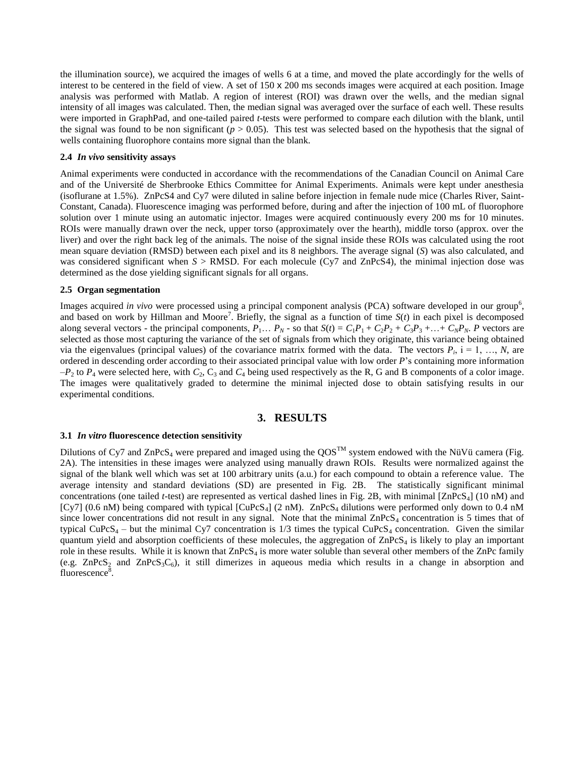the illumination source), we acquired the images of wells 6 at a time, and moved the plate accordingly for the wells of interest to be centered in the field of view. A set of 150 x 200 ms seconds images were acquired at each position. Image analysis was performed with Matlab. A region of interest (ROI) was drawn over the wells, and the median signal intensity of all images was calculated. Then, the median signal was averaged over the surface of each well. These results were imported in GraphPad, and one-tailed paired *t*-tests were performed to compare each dilution with the blank, until the signal was found to be non significant  $(p > 0.05)$ . This test was selected based on the hypothesis that the signal of wells containing fluorophore contains more signal than the blank.

### **2.4** *In vivo* **sensitivity assays**

Animal experiments were conducted in accordance with the recommendations of the Canadian Council on Animal Care and of the Université de Sherbrooke Ethics Committee for Animal Experiments. Animals were kept under anesthesia (isoflurane at 1.5%). ZnPcS4 and Cy7 were diluted in saline before injection in female nude mice (Charles River, Saint-Constant, Canada). Fluorescence imaging was performed before, during and after the injection of 100 mL of fluorophore solution over 1 minute using an automatic injector. Images were acquired continuously every 200 ms for 10 minutes. ROIs were manually drawn over the neck, upper torso (approximately over the hearth), middle torso (approx. over the liver) and over the right back leg of the animals. The noise of the signal inside these ROIs was calculated using the root mean square deviation (RMSD) between each pixel and its 8 neighbors. The average signal (*S*) was also calculated, and was considered significant when *S* > RMSD. For each molecule (Cy7 and ZnPcS4), the minimal injection dose was determined as the dose yielding significant signals for all organs.

### **2.5 Organ segmentation**

Images acquired *in vivo* were [p](#page-6-5)rocessed using a principal component analysis (PCA) software developed in our group<sup>6</sup>, and bas[e](#page-6-6)d on work by Hillman and Moore<sup>7</sup>. Briefly, the signal as a function of time  $S(t)$  in each pixel is decomposed along several vectors - the principal components,  $P_1... P_N$  - so that  $S(t) = C_1P_1 + C_2P_2 + C_3P_3 + ... + C_NP_N$ . P vectors are selected as those most capturing the variance of the set of signals from which they originate, this variance being obtained via the eigenvalues (principal values) of the covariance matrix formed with the data. The vectors  $P_i$ ,  $i = 1, ..., N$ , are ordered in descending order according to their associated principal value with low order *P*'s containing more information  $-P_2$  to  $P_4$  were selected here, with  $C_2$ ,  $C_3$  and  $C_4$  being used respectively as the R, G and B components of a color image. The images were qualitatively graded to determine the minimal injected dose to obtain satisfying results in our experimental conditions.

# **3. RESULTS**

#### **3.1** *In vitro* **fluorescence detection sensitivity**

Dilutions of Cy7 and ZnPcS<sub>4</sub> were prepared and imaged using the QOS<sup>TM</sup> system endowed with the NüVü camera (Fig. 2A). The intensities in these images were analyzed using manually drawn ROIs. Results were normalized against the signal of the blank well which was set at 100 arbitrary units (a.u.) for each compound to obtain a reference value. The average intensity and standard deviations (SD) are presented in Fig. 2B. The statistically significant minimal concentrations (one tailed *t*-test) are represented as vertical dashed lines in Fig. 2B, with minimal  $[ZnPcS<sub>4</sub>]$  (10 nM) and [Cy7] (0.6 nM) being compared with typical [CuPcS<sub>4</sub>] (2 nM). ZnPcS<sub>4</sub> dilutions were performed only down to 0.4 nM since lower concentrations did not result in any signal. Note that the minimal  $\text{ZnPCS}_4$  concentration is 5 times that of typical CuPcS<sub>4</sub> – but the minimal Cy7 concentration is  $1/3$  times the typical CuPcS<sub>4</sub> concentration. Given the similar quantum yield and absorption coefficients of these molecules, the aggregation of  $ZnPcS<sub>4</sub>$  is likely to play an important role in these results. While it is known that  $ZnPcS<sub>4</sub>$  is more water soluble than several other members of the ZnPc family (e.g.  $ZnPcS_2$  and  $ZnPcS_3C_6$ ), it still dimerizes in aqueous media which results in a change in absorption and fluor[e](#page-6-7)scence<sup>8</sup>.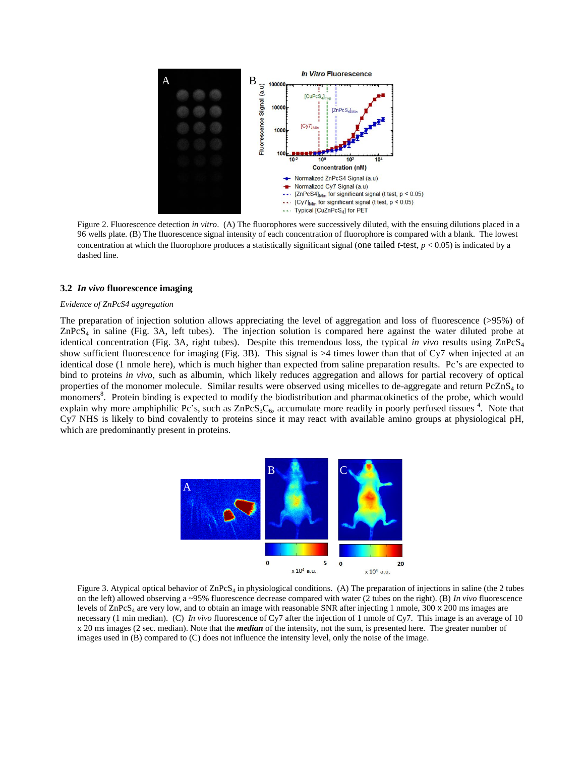

Figure 2. Fluorescence detection *in vitro*. (A) The fluorophores were successively diluted, with the ensuing dilutions placed in a 96 wells plate. (B) The fluorescence signal intensity of each concentration of fluorophore is compared with a blank. The lowest concentration at which the fluorophore produces a statistically significant signal (one tailed *t*-test, *p* < 0.05) is indicated by a dashed line.

### **3.2** *In vivo* **fluorescence imaging**

#### *Evidence of ZnPcS4 aggregation*

The preparation of injection solution allows appreciating the level of aggregation and loss of fluorescence (>95%) of  $ZnP\text{cS}_4$  in saline (Fig. 3A, left tubes). The injection solution is compared here against the water diluted probe at identical concentration (Fig. 3A, right tubes). Despite this tremendous loss, the typical *in vivo* results using ZnPcS<sup>4</sup> show sufficient fluorescence for imaging (Fig. 3B). This signal is  $>4$  times lower than that of Cy7 when injected at an identical dose (1 nmole here), which is much higher than expected from saline preparation results. Pc's are expected to bind to proteins *in vivo*, such as albumin, which likely reduces aggregation and allows for partial recovery of optical properties of the monomer molecule. Similar results were observed using micelles to de-aggregate and return PcZnS<sup>4</sup> to monomers<sup>8</sup>[.](#page-6-7) Protein binding is expected to modify the biodistribution and pharmacokinetics of the probe, which would explain why more amphiphilic Pc's, such as  $ZnPcS_3C_6$ , accumulate more readily in poorly perfused tissues <sup>4</sup>[.](#page-6-3) Note that Cy7 NHS is likely to bind covalently to proteins since it may react with available amino groups at physiological pH, which are predominantly present in proteins.



Figure 3. Atypical optical behavior of ZnPcS<sub>4</sub> in physiological conditions. (A) The preparation of injections in saline (the 2 tubes on the left) allowed observing a ~95% fluorescence decrease compared with water (2 tubes on the right). (B) *In vivo* fluorescence levels of  $\text{ZnPcS}_4$  are very low, and to obtain an image with reasonable SNR after injecting 1 nmole, 300 x 200 ms images are necessary (1 min median). (C) *In vivo* fluorescence of Cy7 after the injection of 1 nmole of Cy7. This image is an average of 10 x 20 ms images (2 sec. median). Note that the *median* of the intensity, not the sum, is presented here. The greater number of images used in (B) compared to (C) does not influence the intensity level, only the noise of the image.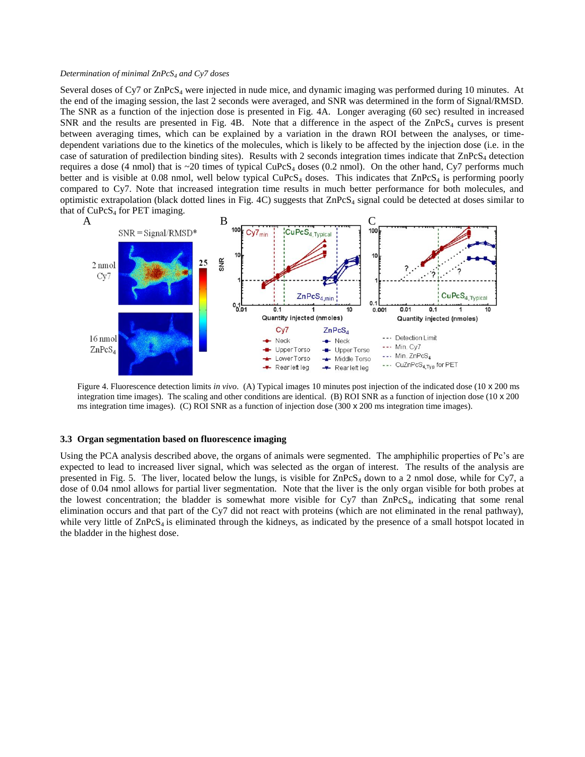#### *Determination of minimal ZnPcS<sup>4</sup> and Cy7 doses*

Several doses of  $Cy7$  or  $ZnPcS<sub>4</sub>$  were injected in nude mice, and dynamic imaging was performed during 10 minutes. At the end of the imaging session, the last 2 seconds were averaged, and SNR was determined in the form of Signal/RMSD. The SNR as a function of the injection dose is presented in Fig. 4A. Longer averaging (60 sec) resulted in increased SNR and the results are presented in Fig. 4B. Note that a difference in the aspect of the  $\text{ZnPcS}_4$  curves is present between averaging times, which can be explained by a variation in the drawn ROI between the analyses, or timedependent variations due to the kinetics of the molecules, which is likely to be affected by the injection dose (i.e. in the case of saturation of predilection binding sites). Results with 2 seconds integration times indicate that  $\text{ZnPcS}_4$  detection requires a dose (4 nmol) that is  $\sim$ 20 times of typical CuPcS<sub>4</sub> doses (0.2 nmol). On the other hand, Cy7 performs much better and is visible at 0.08 nmol, well below typical CuPcS<sub>4</sub> doses. This indicates that  $\text{ZnPcS}_4$  is performing poorly compared to Cy7. Note that increased integration time results in much better performance for both molecules, and optimistic extrapolation (black dotted lines in Fig. 4C) suggests that ZnPcS<sup>4</sup> signal could be detected at doses similar to that of  $CuPcS<sub>4</sub>$  for PET imaging.



Figure 4. Fluorescence detection limits *in vivo*. (A) Typical images 10 minutes post injection of the indicated dose (10 x 200 ms integration time images). The scaling and other conditions are identical. (B) ROI SNR as a function of injection dose ( $10 \times 200$ ) ms integration time images). (C) ROI SNR as a function of injection dose (300 x 200 ms integration time images).

#### **3.3 Organ segmentation based on fluorescence imaging**

Using the PCA analysis described above, the organs of animals were segmented. The amphiphilic properties of Pc's are expected to lead to increased liver signal, which was selected as the organ of interest. The results of the analysis are presented in Fig. 5. The liver, located below the lungs, is visible for  $\text{ZnPcS}_4$  down to a 2 nmol dose, while for Cy7, a dose of 0.04 nmol allows for partial liver segmentation. Note that the liver is the only organ visible for both probes at the lowest concentration; the bladder is somewhat more visible for Cy7 than  $\text{ZnPcS}_4$ , indicating that some renal elimination occurs and that part of the Cy7 did not react with proteins (which are not eliminated in the renal pathway), while very little of  $\text{ZnPcS}_4$  is eliminated through the kidneys, as indicated by the presence of a small hotspot located in the bladder in the highest dose.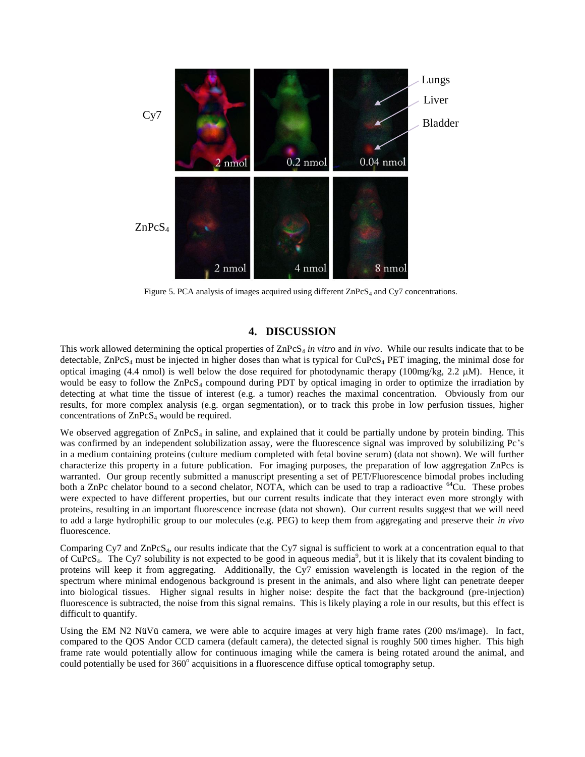

Figure 5. PCA analysis of images acquired using different  $ZnPcS<sub>4</sub>$  and Cy7 concentrations.

# **4. DISCUSSION**

This work allowed determining the optical properties of ZnPcS<sub>4</sub> *in vitro* and *in vivo*. While our results indicate that to be detectable,  $\text{ZnPCS}_4$  must be injected in higher doses than what is typical for  $\text{CuPCS}_4$  PET imaging, the minimal dose for optical imaging (4.4 nmol) is well below the dose required for photodynamic therapy (100mg/kg, 2.2 M). Hence, it would be easy to follow the  $\text{ZnPCS}_4$  compound during PDT by optical imaging in order to optimize the irradiation by detecting at what time the tissue of interest (e.g. a tumor) reaches the maximal concentration. Obviously from our results, for more complex analysis (e.g. organ segmentation), or to track this probe in low perfusion tissues, higher concentrations of  $ZnPcS<sub>4</sub>$  would be required.

We observed aggregation of  $\text{ZnPcS}_4$  in saline, and explained that it could be partially undone by protein binding. This was confirmed by an independent solubilization assay, were the fluorescence signal was improved by solubilizing Pc's in a medium containing proteins (culture medium completed with fetal bovine serum) (data not shown). We will further characterize this property in a future publication. For imaging purposes, the preparation of low aggregation ZnPcs is warranted. Our group recently submitted a manuscript presenting a set of PET/Fluorescence bimodal probes including both a ZnPc chelator bound to a second chelator, NOTA, which can be used to trap a radioactive  $^{64}$ Cu. These probes were expected to have different properties, but our current results indicate that they interact even more strongly with proteins, resulting in an important fluorescence increase (data not shown). Our current results suggest that we will need to add a large hydrophilic group to our molecules (e.g. PEG) to keep them from aggregating and preserve their *in vivo* fluorescence.

Comparing Cy7 and ZnPcS4, our results indicate that the Cy7 signal is sufficient to work at a concentration equal to that of  $CuPcS<sub>4</sub>$ . The Cy7 solubility is not expected to be good in aqueous media<sup>9</sup>[,](#page-6-8) but it is likely that its covalent binding to proteins will keep it from aggregating. Additionally, the Cy7 emission wavelength is located in the region of the spectrum where minimal endogenous background is present in the animals, and also where light can penetrate deeper into biological tissues. Higher signal results in higher noise: despite the fact that the background (pre-injection) fluorescence is subtracted, the noise from this signal remains. This is likely playing a role in our results, but this effect is difficult to quantify.

Using the EM N2 NüVü camera, we were able to acquire images at very high frame rates (200 ms/image). In fact, compared to the QOS Andor CCD camera (default camera), the detected signal is roughly 500 times higher. This high frame rate would potentially allow for continuous imaging while the camera is being rotated around the animal, and could potentially be used for 360° acquisitions in a fluorescence diffuse optical tomography setup.